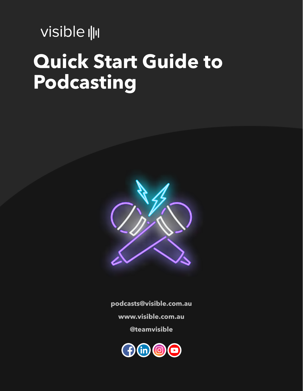visible  $\|\cdot\|$ 

# **Quick Start Guide to Podcasting**



**[podcasts@visible.com.au](mailto:podcasts@visible.com.au%3C/A%3E)**

**[www.visible.com.au](http://www.visible.com.au/)**

**[@teamvisible](http://www.instagram.com/teamvisible/)**

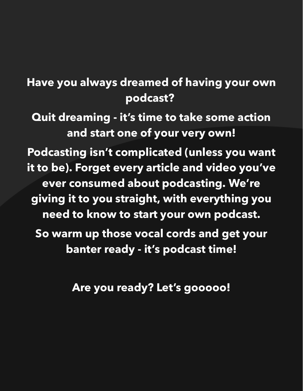### **Have you always dreamed of having your own podcast?**

**Quit dreaming - it's time to take some action and start one of your very own! Podcasting isn't complicated (unless you want it to be). Forget every article and video you've ever consumed about podcasting. We're giving it to you straight, with everything you need to know to start your own podcast. So warm up those vocal cords and get your banter ready - it's podcast time!**

**Are you ready? Let's gooooo!**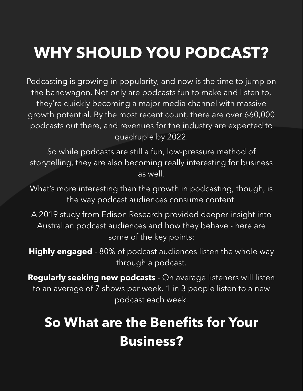# **WHY SHOULD YOU PODCAST?**

Podcasting is growing in popularity, and now is the time to jump on the bandwagon. Not only are podcasts fun to make and listen to, they're quickly becoming a major media channel with massive growth potential. By the most [recent count, there are over](http://www.pwc.com/gx/en/industries/tmt/media/outlook.html) 660,000 podcasts out there, and revenues for the industry are expected to quadruple by 2022.

So while podcasts are still a fun, low-pressure method of storytelling, they are also becoming really interesting for business as well.

What's more interesting than the growth in podcasting, though, is the way podcast audiences consume content.

A 2019 study from Edison [Research](https://www.podcastinsights.com/podcast-statistics/) provided deeper insight into Australian podcast audiences and how they behave - here are some of the key points:

**Highly engaged** - 80% of podcast audiences listen the whole way through a podcast.

**Regularly seeking new podcasts** - On average listeners will listen to an average of 7 shows per week. 1 in 3 people listen to a new podcast each week.

### **So What are the Benefits for Your Business?**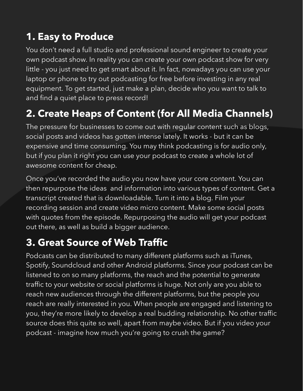### **1. Easy to Produce**

You don't need a full studio and professional sound engineer to create your own podcast show. In reality you can create your own podcast show for very little - you just need to get smart about it. In fact, nowadays you can use your laptop or phone to try out podcasting for free before investing in any real equipment. To get started, just make a plan, decide who you want to talk to and find a quiet place to press record!

### **2. Create Heaps of Content (for All Media Channels)**

The pressure for businesses to come out with regular content such as blogs, social posts and videos has gotten intense lately. It works - but it can be expensive and time consuming. You may think podcasting is for audio only, but if you plan it right you can use your podcast to create a whole lot of awesome content for cheap.

Once you've recorded the audio you now have your core content. You can then repurpose the ideas and information into various types of content. Get a [transcript](http://www.rev.com/) created that is downloadable. Turn it into a blog. Film your recording session and create video micro content. Make some social posts with quotes from the episode. Repurposing the audio will get your podcast out there, as well as build a bigger audience.

### **3. Great Source of Web Traffic**

Podcasts can be distributed to many different platforms such as [iTunes,](http://www.apple.com/au/itunes/) [Spotify,](http://www.spotify.com/au/) [Soundcloud](http://soundcloud.com/) and other Android platforms. Since your podcast can be listened to on so many platforms, the reach and the potential to generate traffic to your website or social platforms is huge. Not only are you able to reach new audiences through the different platforms, but the people you reach are really interested in you. When people are engaged and listening to you, they're more likely to develop a real budding relationship. No other traffic source does this quite so well, apart from maybe video. But if you video your podcast - imagine how much you're going to crush the game?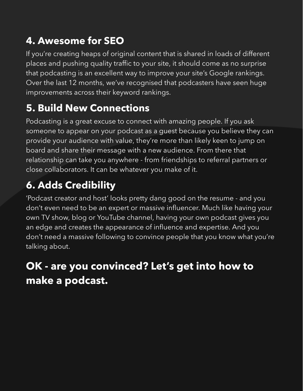### **4. Awesome for SEO**

If you're creating heaps of original content that is shared in loads of different places and pushing quality traffic to your site, it should come as no surprise that podcasting is an excellent way to improve your site's Google rankings. Over the last 12 months, we've recognised that podcasters have seen huge improvements across their keyword rankings.

### **5. Build New Connections**

Podcasting is a great excuse to connect with amazing people. If you ask someone to appear on your podcast as a guest because you believe they can provide your audience with value, they're more than likely keen to jump on board and share their message with a new audience. From there that relationship can take you anywhere - from friendships to referral partners or close collaborators. It can be whatever you make of it.

### **6. Adds Credibility**

'Podcast creator and host' looks pretty dang good on the resume - and you don't even need to be an expert or massive influencer. Much like having your own TV show, blog or YouTube channel, having your own podcast gives you an edge and creates the appearance of influence and expertise. And you don't need a massive following to convince people that you know what you're talking about.

### **OK - are you convinced? Let's get into how to make a podcast.**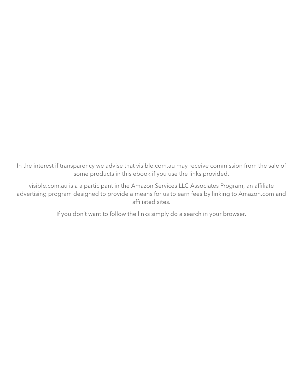In the interest if transparency we advise that [visible.com.au](http://visible.com.au/) may receive commission from the sale of some products in this ebook if you use the links provided.

[visible.com.au](http://visible.com.au/) is a a participant in the Amazon Services LLC Associates Program, an affiliate advertising program designed to provide a means for us to earn fees by linking to [Amazon.com](http://www.amazon.com.au/) and affiliated sites.

If you don't want to follow the links simply do a search in your browser.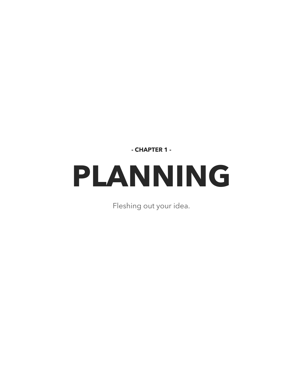**- CHAPTER 1 -**

# **PLANNING**

Fleshing out your idea.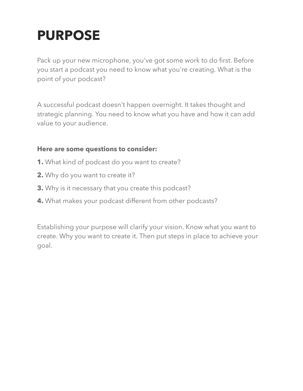### **PURPOSE**

Pack up your new microphone, you've got some work to do first. Before you start a podcast you need to know what you're creating. What is the point of your podcast?

A successful podcast doesn't happen overnight. It takes thought and strategic planning. You need to know what you have and how it can add value to your audience.

#### **Here are some questions to consider:**

- **1.** What kind of podcast do you want to create?
- **2.** Why do you want to create it?
- **3.** Why is it necessary that you create this podcast?
- **4.** What makes your podcast different from other podcasts?

Establishing your purpose will clarify your vision. Know what you want to create. Why you want to create it. Then put steps in place to achieve your goal.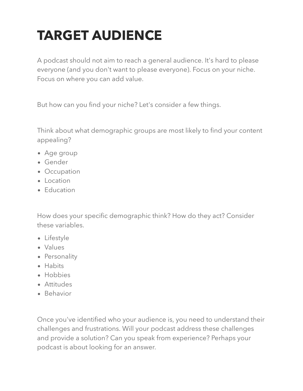# **TARGET AUDIENCE**

A podcast should not aim to reach a general audience. It's hard to please everyone (and you don't want to please everyone). Focus on your niche. Focus on where you can add value.

But how can you find your niche? Let's consider a few things.

Think about what demographic groups are most likely to find your content appealing?

- Age group
- Gender
- Occupation
- Location
- Education

How does your specific demographic think? How do they act? Consider these variables.

- Lifestyle
- Values
- Personality
- Habits
- Hobbies
- Attitudes
- Behavior

Once you've identified who your audience is, you need to understand their challenges and frustrations. Will your podcast address these challenges and provide a solution? Can you speak from experience? Perhaps your podcast is about looking for an answer.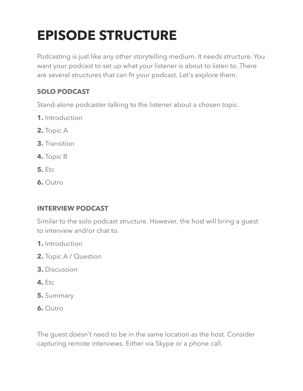## **EPISODE STRUCTURE**

Podcasting is just like any other storytelling medium. It needs structure. You want your podcast to set up what your listener is about to listen to. There are several structures that can fit your podcast. Let's explore them.

### **SOLO PODCAST**

Stand-alone podcaster talking to the listener about a chosen topic.

- **1.** Introduction
- **2.** Topic A
- **3.** Transition
- **4.** Topic B
- **5.** Etc
- **6.** Outro

### **INTERVIEW PODCAST**

Similar to the solo podcast structure. However, the host will bring a guest to interview and/or chat to.

- **1.** Introduction
- **2.** Topic A / Question
- **3.** Discussion
- **4.** Etc
- **5.** Summary
- **6.** Outro

The guest doesn't need to be in the same location as the host. Consider capturing remote interviews. Either via Skype or a phone call.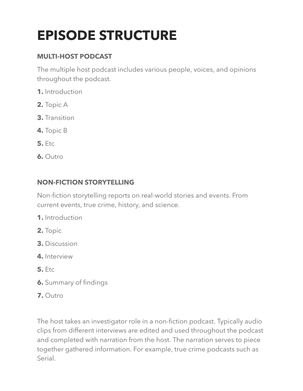# **EPISODE STRUCTURE**

#### **MULTI-HOST PODCAST**

The multiple host podcast includes various people, voices, and opinions throughout the podcast.

- **1.** Introduction
- **2.** Topic A
- **3.** Transition
- **4.** Topic B
- **5.** Etc
- **6.** Outro

### **NON-FICTION STORYTELLING**

Non-fiction storytelling reports on real-world stories and events. From current events, true crime, history, and science.

- **1.** Introduction
- **2.** Topic
- **3.** Discussion
- **4.** Interview
- **5.** Etc
- **6.** Summary of findings
- **7.** Outro

The host takes an investigator role in a non-fiction podcast. Typically audio clips from different interviews are edited and used throughout the podcast and completed with narration from the host. The narration serves to piece together gathered information. For example, true crime podcasts such as Serial.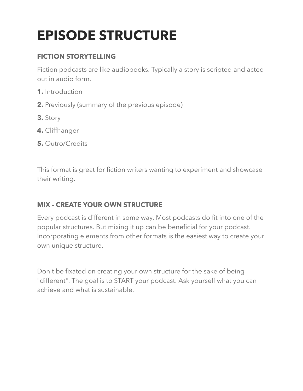## **EPISODE STRUCTURE**

### **FICTION STORYTELLING**

Fiction podcasts are like audiobooks. Typically a story is scripted and acted out in audio form.

- **1.** Introduction
- **2.** Previously (summary of the previous episode)
- **3.** Story
- **4.** Cliffhanger
- **5.** Outro/Credits

This format is great for fiction writers wanting to experiment and showcase their writing.

### **MIX - CREATE YOUR OWN STRUCTURE**

Every podcast is different in some way. Most podcasts do fit into one of the popular structures. But mixing it up can be beneficial for your podcast. Incorporating elements from other formats is the easiest way to create your own unique structure.

Don't be fixated on creating your own structure for the sake of being "different". The goal is to START your podcast. Ask yourself what you can achieve and what is sustainable.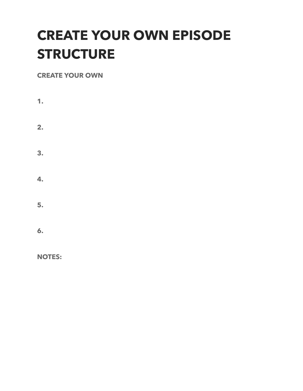### **CREATE YOUR OWN EPISODE STRUCTURE**

#### **CREATE YOUR OWN**

**1. 2. 3. 4. 5. 6.**

**NOTES:**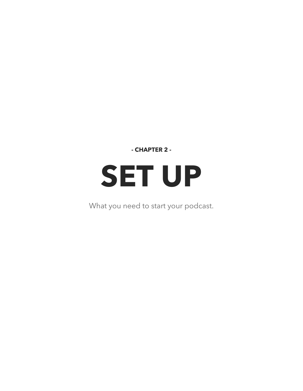**- CHAPTER 2 -**

# **SET UP**

What you need to start your podcast.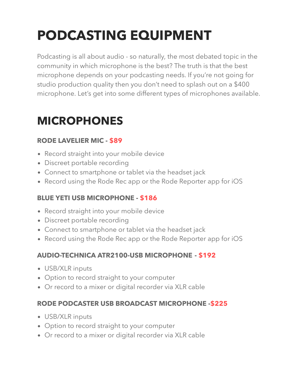## **PODCASTING EQUIPMENT**

Podcasting is all about audio - so naturally, the most debated topic in the community in which microphone is the best? The truth is that the best microphone depends on your podcasting needs. If you're not going for studio production quality then you don't need to splash out on a \$400 microphone. Let's get into some different types of microphones available.

### **MICROPHONES**

### **RODE LAVELIER MIC - [\\$89](http://www.amazon.com.au/Rode-Smartlav-PLUS-Microphone-Smartphones/dp/B00EO4A7L0)**

- Record straight into your mobile device
- Discreet portable recording
- Connect to smartphone or tablet via the headset jack
- Record using the Rode Rec app or the Rode Reporter app for iOS

### **BLUE YETI USB MICROPHONE - [\\$186](https://www.amazon.com.au/Blue-Yeti-USB-Microphone-Blackout/dp/B00N1YPXW2/ref=sr_1_fkmr0_1?keywords=blue+yetti+usb+microphone&qid=1558319492&s=gateway&sr=8-1-fkmr0)**

- Record straight into your mobile device
- Discreet portable recording
- Connect to smartphone or tablet via the headset jack
- Record using the Rode Rec app or the Rode Reporter app for iOS

### **AUDIO-TECHNICA ATR2100-USB MICROPHONE - [\\$192](https://www.amazon.com.au/Audio-Technica-ATR2100-USB-Handheld-Cardioid-Microphone/dp/B004QJOZS4/ref=sr_1_fkmrnull_1?keywords=%E2%80%8BAUDIO-TECHNICA+ATR2100-USB+MICROPHONE&qid=1558319411&s=gateway&sr=8-1-fkmrnull)**

- USB/XLR inputs
- Option to record straight to your computer
- Or record to a mixer or digital recorder via XLR cable

### **RODE PODCASTER USB BROADCAST MICROPHONE [-\\$225](http://www.amazon.com/Rode-Procaster-Broadcast-Dynamic-Microphone/dp/B001IPUJJI)**

- USB/XLR inputs
- Option to record straight to your computer
- Or record to a mixer or digital recorder via XLR cable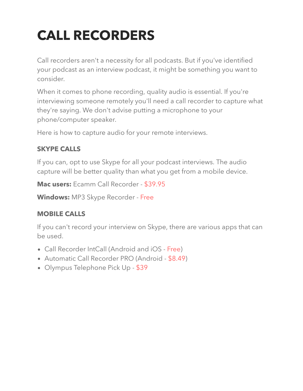# **CALL RECORDERS**

Call recorders aren't a necessity for all podcasts. But if you've identified your podcast as an interview podcast, it might be something you want to consider.

When it comes to phone recording, quality audio is essential. If you're interviewing someone remotely you'll need a call recorder to capture what they're saying. We don't advise putting a microphone to your phone/computer speaker.

Here is how to capture audio for your remote interviews.

#### **SKYPE CALLS**

If you can, opt to use Skype for all your podcast interviews. The audio capture will be better quality than what you get from a mobile device.

**Mac users:** Ecamm Call Recorder - [\\$39.95](http://www.ecamm.com/)

**Windows:** MP3 Skype Recorder - [Free](http://voipcallrecording.com/)

### **MOBILE CALLS**

If you can't record your interview on Skype, there are various apps that can be used.

- Call Recorder IntCall (Android and iOS [Free\)](http://itunes.apple.com/au/app/call-recorder-intcall/id521680097?mt=8)
- Automatic Call Recorder PRO (Android [\\$8.49\)](http://play.google.com/store/apps/details?id=com.appstar.callrecorderpro&hl=en)
- Olympus Telephone Pick Up [\\$39](http://www.olympus.com.au/Products/Accessories/Digital-Audio-Recorder-Accessories/Microphones/Microphones-for-Telephone-Calls/Telephone-Pickup-TP8)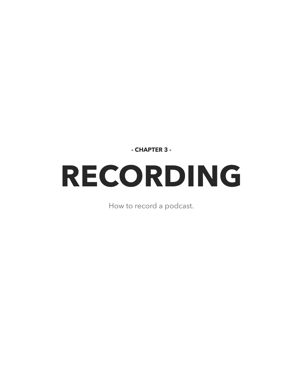**- CHAPTER 3 -**

# **RECORDING**

How to record a podcast.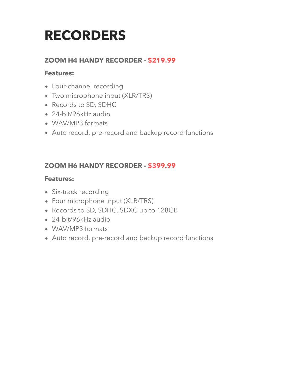### **RECORDERS**

#### **ZOOM H4 HANDY RECORDER - [\\$219.99](http://www.amazon.com/Zoom-H4N-Digital-Multitrack-Recorder/dp/B01DPOXS8I)**

#### **Features:**

- Four-channel recording
- Two microphone input (XLR/TRS)
- Records to SD, SDHC
- 24-bit/96kHz audio
- WAV/MP3 formats
- Auto record, pre-record and backup record functions

#### **ZOOM H6 HANDY RECORDER - [\\$399.99](http://www.amazon.com/Zoom-H6-Six-Track-Portable-Recorder/dp/B00DFU9BRK)**

#### **Features:**

- Six-track recording
- Four microphone input (XLR/TRS)
- Records to SD, SDHC, SDXC up to 128GB
- 24-bit/96kHz audio
- WAV/MP3 formats
- Auto record, pre-record and backup record functions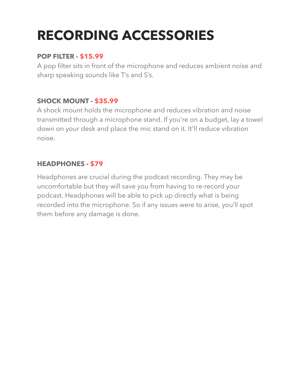## **RECORDING ACCESSORIES**

#### **POP FILTER - [\\$15.99](https://www.amazon.com.au/Neewer-Windscreen-Filter-Condenser-Microphone/dp/B01L3M3P50/ref=sr_1_10?keywords=pop+filter&qid=1557985219&s=electronics&sr=1-10)**

A pop filter sits in front of the microphone and reduces ambient noise and sharp speaking sounds like T's and S's.

#### **SHOCK MOUNT - [\\$35.99](https://www.amazon.com.au/Neewer-Adjustable-Microphone-Suspension-Broadcasting/dp/B07BHMQ4X6/ref=sr_1_6?keywords=shock+mount&qid=1558340358&s=electronics&sr=1-6)**

A shock mount holds the microphone and reduces vibration and noise transmitted through a microphone stand. If you're on a budget, lay a towel down on your desk and place the mic stand on it. It'll reduce vibration noise.

### **HEADPHONES - [\\$79](https://www.amazon.com.au/Audio-Technica-ATH-M20x-Professional-Closed-Back-Headphones/dp/B00HVLUR18/ref=sr_1_4?keywords=audiotechnica+headphones&qid=1557985304&s=electronics&sr=1-4)**

Headphones are crucial during the podcast recording. They may be uncomfortable but they will save you from having to re-record your podcast. Headphones will be able to pick up directly what is being recorded into the microphone. So if any issues were to arise, you'll spot them before any damage is done.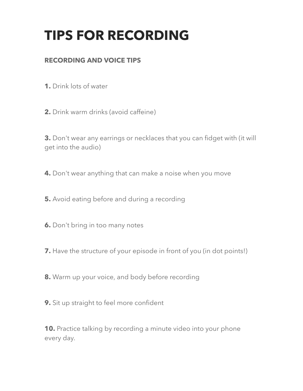### **TIPS FOR RECORDING**

#### **RECORDING AND VOICE TIPS**

**1.** Drink lots of water

**2.** Drink warm drinks (avoid caffeine)

**3.** Don't wear any earrings or necklaces that you can fidget with (it will get into the audio)

**4.** Don't wear anything that can make a noise when you move

**5.** Avoid eating before and during a recording

**6.** Don't bring in too many notes

**7.** Have the structure of your episode in front of you (in dot points!)

**8.** Warm up your voice, and body before recording

**9.** Sit up straight to feel more confident

**10.** Practice talking by recording a minute video into your phone every day.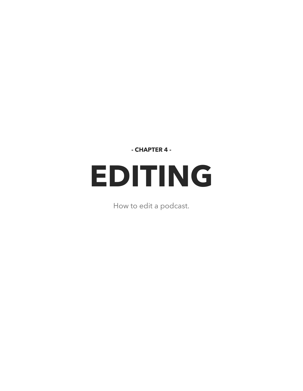**- CHAPTER 4 -**

# **EDITING**

How to edit a podcast.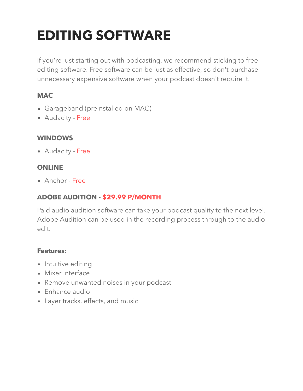### **EDITING SOFTWARE**

If you're just starting out with podcasting, we recommend sticking to free editing software. Free software can be just as effective, so don't purchase unnecessary expensive software when your podcast doesn't require it.

#### **MAC**

- Garageband (preinstalled on MAC)
- Audacity [Free](http://www.audacityteam.org/)

#### **WINDOWS**

Audacity - [Free](http://www.audacityteam.org/)

#### **ONLINE**

Anchor - [Free](http://anchor.fm/)

#### **ADOBE AUDITION - \$29.99 [P/MONTH](http://www.adobe.com/au/products/audition.html)**

Paid audio audition software can take your podcast quality to the next level. Adobe Audition can be used in the recording process through to the audio edit.

#### **Features:**

- Intuitive editing
- Mixer interface
- Remove unwanted noises in your podcast
- Enhance audio
- Layer tracks, effects, and music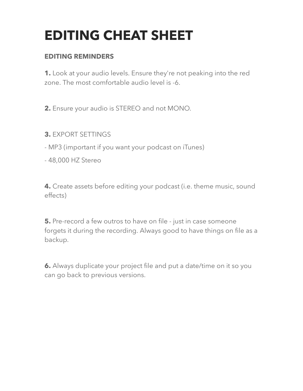### **EDITING CHEAT SHEET**

#### **EDITING REMINDERS**

**1.** Look at your audio levels. Ensure they're not peaking into the red zone. The most comfortable audio level is -6.

**2.** Ensure your audio is STEREO and not MONO.

- **3.** EXPORT SETTINGS
- MP3 (important if you want your podcast on iTunes)
- 48,000 HZ Stereo

**4.** Create assets before editing your podcast (i.e. theme music, sound effects)

**5.** Pre-record a few outros to have on file - just in case someone forgets it during the recording. Always good to have things on file as a backup.

**6.** Always duplicate your project file and put a date/time on it so you can go back to previous versions.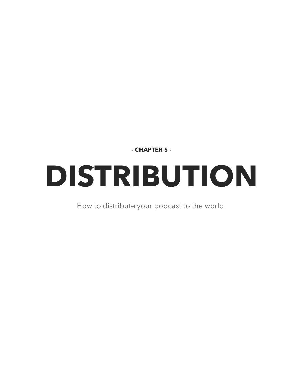**- CHAPTER 5 -**

# **DISTRIBUTION**

How to distribute your podcast to the world.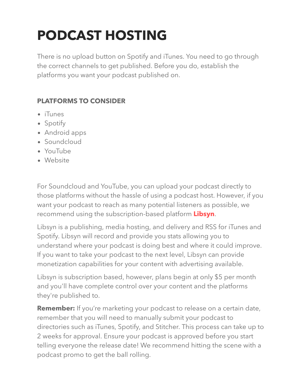## **PODCAST HOSTING**

There is no upload button on Spotify and iTunes. You need to go through the correct channels to get published. Before you do, establish the platforms you want your podcast published on.

### **PLATFORMS TO CONSIDER**

- iTunes
- Spotify
- Android apps
- Soundcloud
- YouTube
- Website

For Soundcloud and YouTube, you can upload your podcast directly to those platforms without the hassle of using a podcast host. However, if you want your podcast to reach as many potential listeners as possible, we recommend using the subscription-based platform **[Libsyn](http://www.libsyn.com/)**.

Libsyn is a publishing, media hosting, and delivery and RSS for iTunes and Spotify. Libsyn will record and provide you stats allowing you to understand where your podcast is doing best and where it could improve. If you want to take your podcast to the next level, Libsyn can provide monetization capabilities for your content with advertising available.

Libsyn is subscription based, however, plans begin at only \$5 per month and you'll have complete control over your content and the platforms they're published to.

**Remember:** If you're marketing your podcast to release on a certain date, remember that you will need to manually submit your podcast to directories such as iTunes, Spotify, and Stitcher. This process can take up to 2 weeks for approval. Ensure your podcast is approved before you start telling everyone the release date! We recommend hitting the scene with a podcast promo to get the ball rolling.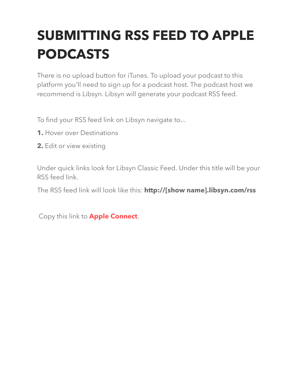# **SUBMITTING RSS FEED TO APPLE PODCASTS**

There is no upload button for iTunes. To upload your podcast to this platform you'll need to sign up for a podcast host. The podcast host we recommend is Libsyn. Libsyn will generate your podcast RSS feed.

To find your RSS feed link on Libsyn navigate to...

- **1.** Hover over Destinations
- **2.** Edit or view existing

Under quick links look for Libsyn Classic Feed. Under this title will be your RSS feed link.

The RSS feed link will look like this: **http://[show name].libsyn.com/rss**

Copy this link to **Apple [Connect](http://itunesconnect.apple.com/login)**.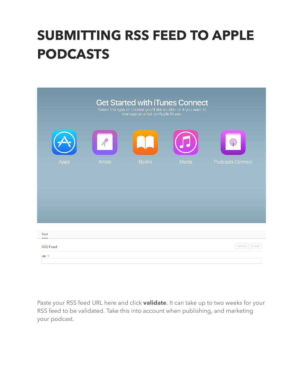### **SUBMITTING RSS FEED TO APPLE PODCASTS**

| <b>Get Started with iTunes Connect</b><br>Select the type of content you'd like to offer, or if you want to<br>manage an artist on Apple Music. |                |              |       |                         |
|-------------------------------------------------------------------------------------------------------------------------------------------------|----------------|--------------|-------|-------------------------|
|                                                                                                                                                 | P              |              |       | Q                       |
| Apps                                                                                                                                            | <b>Artists</b> | <b>Books</b> | Media | <b>Podcasts Connect</b> |
|                                                                                                                                                 |                |              |       |                         |
| Feed                                                                                                                                            |                |              |       |                         |
| <b>RSS Feed</b><br>URL ?                                                                                                                        |                |              |       | Validate<br>Submit      |

Paste your RSS feed URL here and click **validate**. It can take up to two weeks for your RSS feed to be validated. Take this into account when publishing, and marketing your podcast.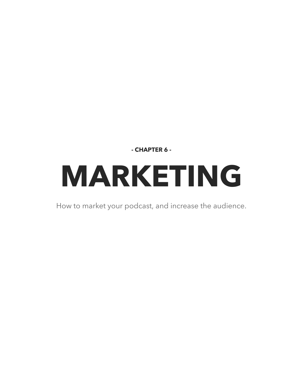**- CHAPTER 6 -**

# **MARKETING**

How to market your podcast, and increase the audience.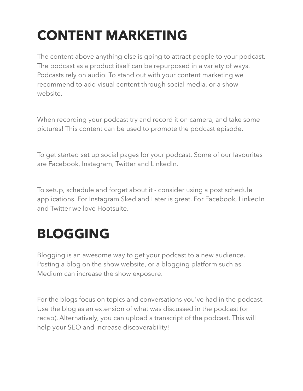# **CONTENT MARKETING**

The content above anything else is going to attract people to your podcast. The podcast as a product itself can be repurposed in a variety of ways. Podcasts rely on audio. To stand out with your content marketing we recommend to add visual content through social media, or a show website.

When recording your podcast try and record it on camera, and take some pictures! This content can be used to promote the podcast episode.

To get started set up social pages for your podcast. Some of our favourites are Facebook, Instagram, Twitter and LinkedIn.

To setup, schedule and forget about it - consider using a post schedule applications. For Instagram Sked and Later is great. For Facebook, LinkedIn and Twitter we love Hootsuite.

### **BLOGGING**

Blogging is an awesome way to get your podcast to a new audience. Posting a blog on the show website, or a blogging platform such as Medium can increase the show exposure.

For the blogs focus on topics and conversations you've had in the podcast. Use the blog as an extension of what was discussed in the podcast (or recap). Alternatively, you can upload a transcript of the podcast. This will help your SEO and increase discoverability!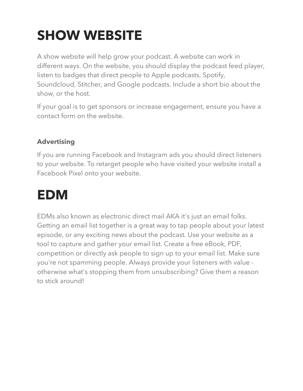## **SHOW WEBSITE**

A show website will help grow your podcast. A website can work in different ways. On the website, you should display the podcast feed player, listen to badges that direct people to Apple podcasts, Spotify, Soundcloud, Stitcher, and Google podcasts. Include a short bio about the show, or the host.

If your goal is to get sponsors or increase engagement, ensure you have a contact form on the website.

#### **Advertising**

If you are running Facebook and Instagram ads you should direct listeners to your website. To retarget people who have visited your website install a Facebook Pixel onto your website.

### **EDM**

EDMs also known as electronic direct mail AKA it's just an email folks. Getting an email list together is a great way to tap people about your latest episode, or any exciting news about the podcast. Use your website as a tool to capture and gather your email list. Create a free eBook, PDF, competition or directly ask people to sign up to your email list. Make sure you're not spamming people. Always provide your listeners with value otherwise what's stopping them from unsubscribing? Give them a reason to stick around!